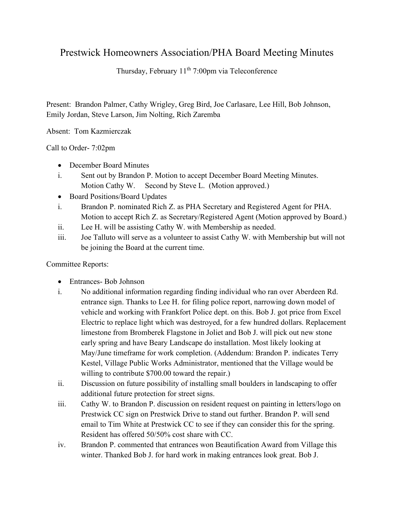## Prestwick Homeowners Association/PHA Board Meeting Minutes

Thursday, February 11<sup>th</sup> 7:00pm via Teleconference

Present: Brandon Palmer, Cathy Wrigley, Greg Bird, Joe Carlasare, Lee Hill, Bob Johnson, Emily Jordan, Steve Larson, Jim Nolting, Rich Zaremba

Absent: Tom Kazmierczak

Call to Order- 7:02pm

- December Board Minutes
- i. Sent out by Brandon P. Motion to accept December Board Meeting Minutes. Motion Cathy W. Second by Steve L. (Motion approved.)
- Board Positions/Board Updates
- i. Brandon P. nominated Rich Z. as PHA Secretary and Registered Agent for PHA. Motion to accept Rich Z. as Secretary/Registered Agent (Motion approved by Board.)
- ii. Lee H. will be assisting Cathy W. with Membership as needed.
- iii. Joe Talluto will serve as a volunteer to assist Cathy W. with Membership but will not be joining the Board at the current time.

Committee Reports:

- Entrances- Bob Johnson
- i. No additional information regarding finding individual who ran over Aberdeen Rd. entrance sign. Thanks to Lee H. for filing police report, narrowing down model of vehicle and working with Frankfort Police dept. on this. Bob J. got price from Excel Electric to replace light which was destroyed, for a few hundred dollars. Replacement limestone from Bromberek Flagstone in Joliet and Bob J. will pick out new stone early spring and have Beary Landscape do installation. Most likely looking at May/June timeframe for work completion. (Addendum: Brandon P. indicates Terry Kestel, Village Public Works Administrator, mentioned that the Village would be willing to contribute \$700.00 toward the repair.)
- ii. Discussion on future possibility of installing small boulders in landscaping to offer additional future protection for street signs.
- iii. Cathy W. to Brandon P. discussion on resident request on painting in letters/logo on Prestwick CC sign on Prestwick Drive to stand out further. Brandon P. will send email to Tim White at Prestwick CC to see if they can consider this for the spring. Resident has offered 50/50% cost share with CC.
- iv. Brandon P. commented that entrances won Beautification Award from Village this winter. Thanked Bob J. for hard work in making entrances look great. Bob J.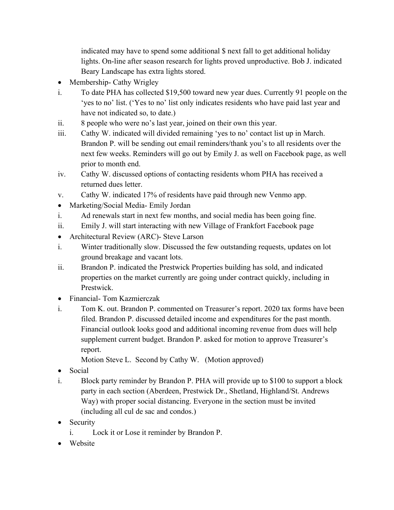indicated may have to spend some additional \$ next fall to get additional holiday lights. On-line after season research for lights proved unproductive. Bob J. indicated Beary Landscape has extra lights stored.

- Membership- Cathy Wrigley
- i. To date PHA has collected \$19,500 toward new year dues. Currently 91 people on the 'yes to no' list. ('Yes to no' list only indicates residents who have paid last year and have not indicated so, to date.)
- ii. 8 people who were no's last year, joined on their own this year.
- iii. Cathy W. indicated will divided remaining 'yes to no' contact list up in March. Brandon P. will be sending out email reminders/thank you's to all residents over the next few weeks. Reminders will go out by Emily J. as well on Facebook page, as well prior to month end.
- iv. Cathy W. discussed options of contacting residents whom PHA has received a returned dues letter.
- v. Cathy W. indicated 17% of residents have paid through new Venmo app.
- Marketing/Social Media- Emily Jordan
- i. Ad renewals start in next few months, and social media has been going fine.
- ii. Emily J. will start interacting with new Village of Frankfort Facebook page
- Architectural Review (ARC)- Steve Larson
- i. Winter traditionally slow. Discussed the few outstanding requests, updates on lot ground breakage and vacant lots.
- ii. Brandon P. indicated the Prestwick Properties building has sold, and indicated properties on the market currently are going under contract quickly, including in Prestwick.
- Financial- Tom Kazmierczak
- i. Tom K. out. Brandon P. commented on Treasurer's report. 2020 tax forms have been filed. Brandon P. discussed detailed income and expenditures for the past month. Financial outlook looks good and additional incoming revenue from dues will help supplement current budget. Brandon P. asked for motion to approve Treasurer's report.

Motion Steve L. Second by Cathy W. (Motion approved)

- Social
- i. Block party reminder by Brandon P. PHA will provide up to \$100 to support a block party in each section (Aberdeen, Prestwick Dr., Shetland, Highland/St. Andrews Way) with proper social distancing. Everyone in the section must be invited (including all cul de sac and condos.)
- Security
	- i. Lock it or Lose it reminder by Brandon P.
- Website